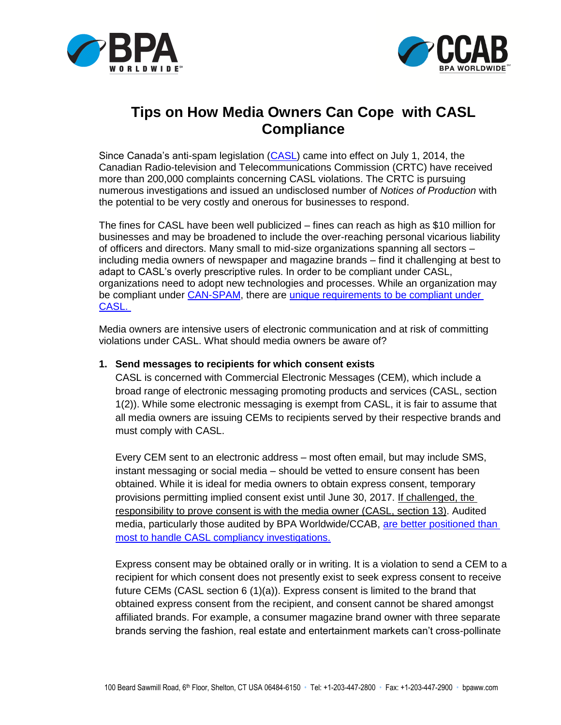



# **Tips on How Media Owners Can Cope with CASL Compliance**

Since Canada's anti-spam legislation [\(CASL\)](http://laws-lois.justice.gc.ca/eng/acts/E-1.6/FullText.html) came into effect on July 1, 2014, the Canadian Radio-television and Telecommunications Commission (CRTC) have received more than 200,000 complaints concerning CASL violations. The CRTC is pursuing numerous investigations and issued an undisclosed number of *Notices of Production* with the potential to be very costly and onerous for businesses to respond.

The fines for CASL have been well publicized – fines can reach as high as \$10 million for businesses and may be broadened to include the over-reaching personal vicarious liability of officers and directors. Many small to mid-size organizations spanning all sectors – including media owners of newspaper and magazine brands – find it challenging at best to adapt to CASL's overly prescriptive rules. In order to be compliant under CASL, organizations need to adopt new technologies and processes. While an organization may be compliant under [CAN-SPAM,](http://www.bpaww.com/Bpaww_com/Pages/Home.aspx) there are unique requirements to be compliant under [CASL.](http://www.bpaww.com/Bpaww_com/HTML/CCAB/CASL/CCABs%20rules%20help%20media%20owners%20better%20comply%20with%20CASL%20(2).pdf) 

Media owners are intensive users of electronic communication and at risk of committing violations under CASL. What should media owners be aware of?

#### **1. Send messages to recipients for which consent exists**

CASL is concerned with Commercial Electronic Messages (CEM), which include a broad range of electronic messaging promoting products and services (CASL, section 1(2)). While some electronic messaging is exempt from CASL, it is fair to assume that all media owners are issuing CEMs to recipients served by their respective brands and must comply with CASL.

Every CEM sent to an electronic address – most often email, but may include SMS, instant messaging or social media – should be vetted to ensure consent has been obtained. While it is ideal for media owners to obtain express consent, temporary provisions permitting implied consent exist until June 30, 2017. If challenged, the responsibility to prove consent is with the media owner (CASL, section 13). Audited media, particularly those audited by BPA Worldwide/CCAB, [are better positioned than](http://www.bpaww.com/Bpaww_com/HTML/CCAB/CASL/CCABs%20rules%20help%20media%20owners%20better%20comply%20with%20CASL%20(2).pdf)  [most to handle CASL compliancy investigations.](http://www.bpaww.com/Bpaww_com/HTML/CCAB/CASL/CCABs%20rules%20help%20media%20owners%20better%20comply%20with%20CASL%20(2).pdf)

Express consent may be obtained orally or in writing. It is a violation to send a CEM to a recipient for which consent does not presently exist to seek express consent to receive future CEMs (CASL section 6 (1)(a)). Express consent is limited to the brand that obtained express consent from the recipient, and consent cannot be shared amongst affiliated brands. For example, a consumer magazine brand owner with three separate brands serving the fashion, real estate and entertainment markets can't cross-pollinate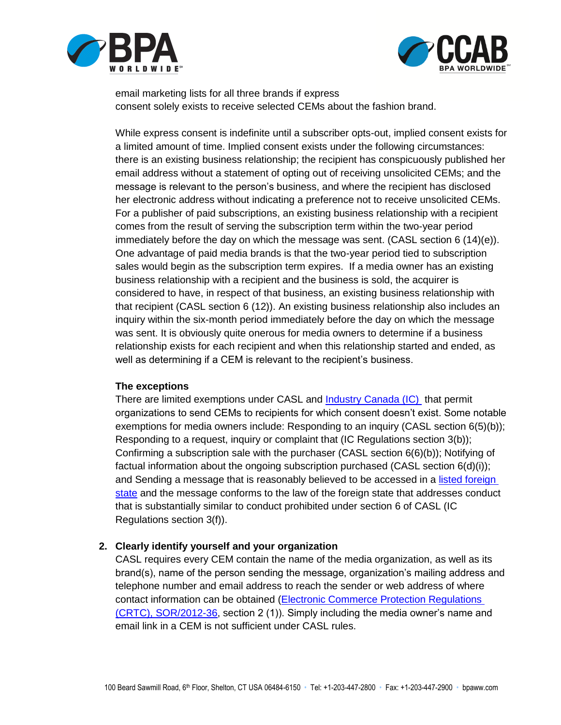



email marketing lists for all three brands if express consent solely exists to receive selected CEMs about the fashion brand.

While express consent is indefinite until a subscriber opts-out, implied consent exists for a limited amount of time. Implied consent exists under the following circumstances: there is an existing business relationship; the recipient has conspicuously published her email address without a statement of opting out of receiving unsolicited CEMs; and the message is relevant to the person's business, and where the recipient has disclosed her electronic address without indicating a preference not to receive unsolicited CEMs. For a publisher of paid subscriptions, an existing business relationship with a recipient comes from the result of serving the subscription term within the two-year period immediately before the day on which the message was sent. (CASL section  $6(14)(e)$ ). One advantage of paid media brands is that the two-year period tied to subscription sales would begin as the subscription term expires. If a media owner has an existing business relationship with a recipient and the business is sold, the acquirer is considered to have, in respect of that business, an existing business relationship with that recipient (CASL section 6 (12)). An existing business relationship also includes an inquiry within the six-month period immediately before the day on which the message was sent. It is obviously quite onerous for media owners to determine if a business relationship exists for each recipient and when this relationship started and ended, as well as determining if a CEM is relevant to the recipient's business.

#### **The exceptions**

There are limited exemptions under CASL and [Industry Canada \(IC\)](http://fightspam.gc.ca/eic/site/030.nsf/eng/00273.html) that permit organizations to send CEMs to recipients for which consent doesn't exist. Some notable exemptions for media owners include: Responding to an inquiry (CASL section 6(5)(b)); Responding to a request, inquiry or complaint that (IC Regulations section 3(b)); Confirming a subscription sale with the purchaser (CASL section 6(6)(b)); Notifying of factual information about the ongoing subscription purchased (CASL section 6(d)(i)); and Sending a message that is reasonably believed to be accessed in a [listed foreign](http://fightspam.gc.ca/eic/site/030.nsf/eng/00273.html)  [state](http://fightspam.gc.ca/eic/site/030.nsf/eng/00273.html) and the message conforms to the law of the foreign state that addresses conduct that is substantially similar to conduct prohibited under section 6 of CASL (IC Regulations section 3(f)).

#### **2. Clearly identify yourself and your organization**

CASL requires every CEM contain the name of the media organization, as well as its brand(s), name of the person sending the message, organization's mailing address and telephone number and email address to reach the sender or web address of where contact information can be obtained (Electronic Commerce Protection Regulations [\(CRTC\), SOR/2012-36,](http://fightspam.gc.ca/eic/site/030.nsf/eng/00273.html) section 2 (1)). Simply including the media owner's name and email link in a CEM is not sufficient under CASL rules.